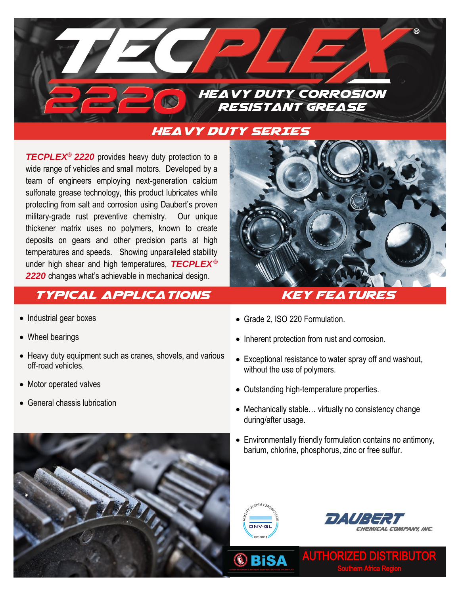

## Heavy duty SERIES

*TECPLEX***®** *2220* provides heavy duty protection to a wide range of vehicles and small motors. Developed by a team of engineers employing next-generation calcium sulfonate grease technology, this product lubricates while protecting from salt and corrosion using Daubert's proven military-grade rust preventive chemistry. Our unique thickener matrix uses no polymers, known to create deposits on gears and other precision parts at high temperatures and speeds. Showing unparalleled stability under high shear and high temperatures, *TECPLEX*  **®** *2220* changes what's achievable in mechanical design.

# TYPICAL APPLICATIONS KEY FEATURES

- Industrial gear boxes
- Wheel bearings
- Heavy duty equipment such as cranes, shovels, and various off-road vehicles.
- Motor operated valves
- General chassis lubrication



- Grade 2, ISO 220 Formulation.
- Inherent protection from rust and corrosion.
- Exceptional resistance to water spray off and washout, without the use of polymers.
- Outstanding high-temperature properties.
- Mechanically stable... virtually no consistency change during/after usage.
- Environmentally friendly formulation contains no antimony, barium, chlorine, phosphorus, zinc or free sulfur.



**®BiSA** 



AUTHORIZED DISTRIBUTOR Southern Africa Region